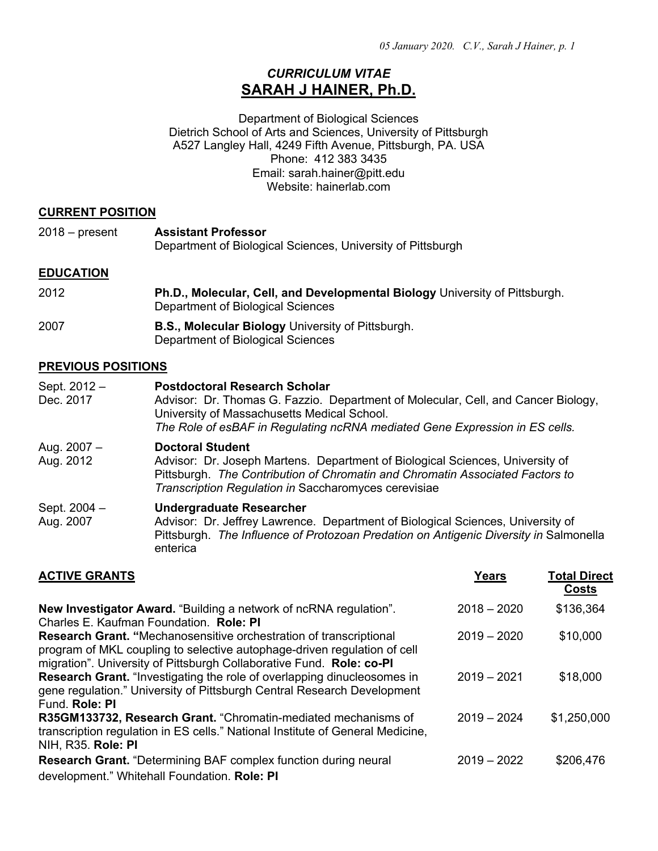## *CURRICULUM VITAE* **SARAH J HAINER, Ph.D.**

Department of Biological Sciences Dietrich School of Arts and Sciences, University of Pittsburgh A527 Langley Hall, 4249 Fifth Avenue, Pittsburgh, PA. USA Phone: 412 383 3435 Email: sarah.hainer@pitt.edu Website: hainerlab.com

#### **CURRENT POSITION**

| 2018 – present | <b>Assistant Professor</b>                                  |
|----------------|-------------------------------------------------------------|
|                | Department of Biological Sciences, University of Pittsburgh |
|                |                                                             |

### **EDUCATION**

| 2012 | <b>Ph.D., Molecular, Cell, and Developmental Biology University of Pittsburgh.</b><br>Department of Biological Sciences |
|------|-------------------------------------------------------------------------------------------------------------------------|
| 2007 | <b>B.S., Molecular Biology University of Pittsburgh.</b>                                                                |

# Department of Biological Sciences

#### **PREVIOUS POSITIONS**

| Sept. 2012 -<br>Dec. 2017 | <b>Postdoctoral Research Scholar</b><br>Advisor: Dr. Thomas G. Fazzio. Department of Molecular, Cell, and Cancer Biology,<br>University of Massachusetts Medical School.<br>The Role of esBAF in Regulating ncRNA mediated Gene Expression in ES cells. |
|---------------------------|---------------------------------------------------------------------------------------------------------------------------------------------------------------------------------------------------------------------------------------------------------|
| Aug. 2007 -<br>Aug. 2012  | <b>Doctoral Student</b><br>Advisor: Dr. Joseph Martens. Department of Biological Sciences, University of<br>Pittsburgh. The Contribution of Chromatin and Chromatin Associated Factors to<br>Transcription Regulation in Saccharomyces cerevisiae       |
| Sept. 2004 -<br>Aug. 2007 | <b>Undergraduate Researcher</b><br>Advisor: Dr. Jeffrey Lawrence. Department of Biological Sciences, University of<br>Pittsburgh. The Influence of Protozoan Predation on Antigenic Diversity in Salmonella<br>enterica                                 |

| <b>ACTIVE GRANTS</b>                                                                                                                                                                                                   | <b>Years</b>  | <b>Total Direct</b><br>Costs |
|------------------------------------------------------------------------------------------------------------------------------------------------------------------------------------------------------------------------|---------------|------------------------------|
| <b>New Investigator Award.</b> "Building a network of ncRNA regulation".<br>Charles E. Kaufman Foundation. Role: PI                                                                                                    | $2018 - 2020$ | \$136,364                    |
| Research Grant. "Mechanosensitive orchestration of transcriptional<br>program of MKL coupling to selective autophage-driven regulation of cell<br>migration". University of Pittsburgh Collaborative Fund. Role: co-PI | $2019 - 2020$ | \$10,000                     |
| <b>Research Grant.</b> "Investigating the role of overlapping dinucleosomes in<br>gene regulation." University of Pittsburgh Central Research Development<br>Fund, Role: PI                                            | $2019 - 2021$ | \$18,000                     |
| R35GM133732, Research Grant. "Chromatin-mediated mechanisms of<br>transcription regulation in ES cells." National Institute of General Medicine,<br>NIH, R35. Role: PI                                                 | $2019 - 2024$ | \$1,250,000                  |
| <b>Research Grant.</b> "Determining BAF complex function during neural<br>development." Whitehall Foundation. Role: PI                                                                                                 | $2019 - 2022$ | \$206,476                    |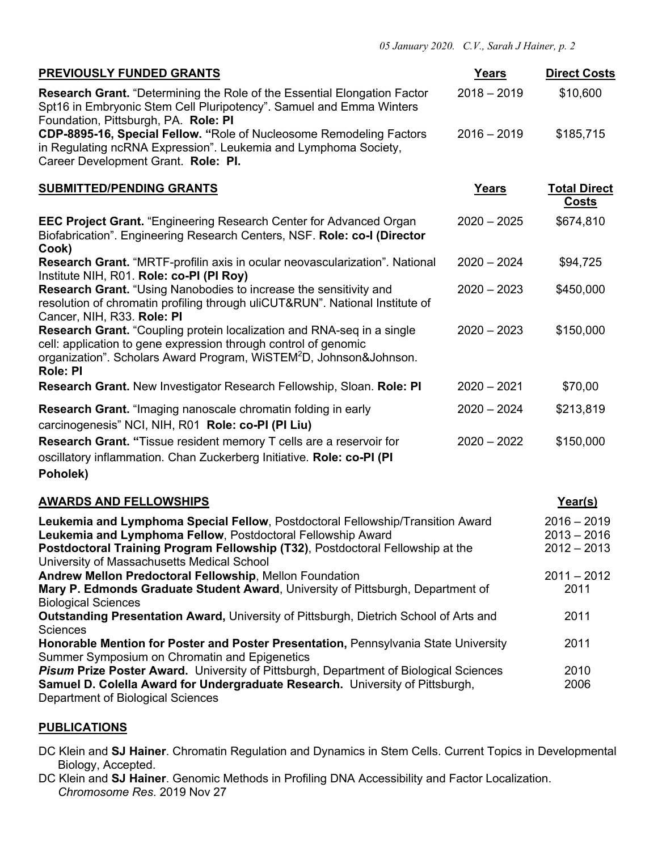| PREVIOUSLY FUNDED GRANTS                                                                                                                                                                                                                                                      | Years         | <b>Direct Costs</b>                             |
|-------------------------------------------------------------------------------------------------------------------------------------------------------------------------------------------------------------------------------------------------------------------------------|---------------|-------------------------------------------------|
| <b>Research Grant.</b> "Determining the Role of the Essential Elongation Factor<br>Spt16 in Embryonic Stem Cell Pluripotency". Samuel and Emma Winters<br>Foundation, Pittsburgh, PA. Role: PI                                                                                | $2018 - 2019$ | \$10,600                                        |
| CDP-8895-16, Special Fellow. "Role of Nucleosome Remodeling Factors<br>in Regulating ncRNA Expression". Leukemia and Lymphoma Society,<br>Career Development Grant. Role: PI.                                                                                                 | $2016 - 2019$ | \$185,715                                       |
| <b>SUBMITTED/PENDING GRANTS</b>                                                                                                                                                                                                                                               | Years         | <b>Total Direct</b><br><u>Costs</u>             |
| <b>EEC Project Grant.</b> "Engineering Research Center for Advanced Organ<br>Biofabrication". Engineering Research Centers, NSF. Role: co-I (Director<br>Cook)                                                                                                                | $2020 - 2025$ | \$674,810                                       |
| Research Grant. "MRTF-profilin axis in ocular neovascularization". National<br>Institute NIH, R01. Role: co-PI (PI Roy)                                                                                                                                                       | $2020 - 2024$ | \$94,725                                        |
| Research Grant. "Using Nanobodies to increase the sensitivity and<br>resolution of chromatin profiling through uliCUT&RUN". National Institute of<br>Cancer, NIH, R33. Role: PI                                                                                               | $2020 - 2023$ | \$450,000                                       |
| <b>Research Grant.</b> "Coupling protein localization and RNA-seq in a single<br>cell: application to gene expression through control of genomic<br>organization". Scholars Award Program, WiSTEM <sup>2</sup> D, Johnson&Johnson.<br><b>Role: PI</b>                         | $2020 - 2023$ | \$150,000                                       |
| Research Grant. New Investigator Research Fellowship, Sloan. Role: PI                                                                                                                                                                                                         | $2020 - 2021$ | \$70,00                                         |
| <b>Research Grant.</b> "Imaging nanoscale chromatin folding in early<br>carcinogenesis" NCI, NIH, R01 Role: co-PI (PI Liu)                                                                                                                                                    | $2020 - 2024$ | \$213,819                                       |
| Research Grant. "Tissue resident memory T cells are a reservoir for<br>oscillatory inflammation. Chan Zuckerberg Initiative. Role: co-PI (PI<br>Poholek)                                                                                                                      | $2020 - 2022$ | \$150,000                                       |
| <b>AWARDS AND FELLOWSHIPS</b>                                                                                                                                                                                                                                                 |               | Year(s)                                         |
| Leukemia and Lymphoma Special Fellow, Postdoctoral Fellowship/Transition Award<br>Leukemia and Lymphoma Fellow, Postdoctoral Fellowship Award<br>Postdoctoral Training Program Fellowship (T32), Postdoctoral Fellowship at the<br>University of Massachusetts Medical School |               | $2016 - 2019$<br>$2013 - 2016$<br>$2012 - 2013$ |
| Andrew Mellon Predoctoral Fellowship, Mellon Foundation<br>Mary P. Edmonds Graduate Student Award, University of Pittsburgh, Department of<br><b>Biological Sciences</b>                                                                                                      |               | $2011 - 2012$<br>2011                           |
| Outstanding Presentation Award, University of Pittsburgh, Dietrich School of Arts and<br><b>Sciences</b>                                                                                                                                                                      |               | 2011                                            |
| Honorable Mention for Poster and Poster Presentation, Pennsylvania State University<br>Summer Symposium on Chromatin and Epigenetics                                                                                                                                          |               | 2011                                            |
| Pisum Prize Poster Award. University of Pittsburgh, Department of Biological Sciences<br>Samuel D. Colella Award for Undergraduate Research. University of Pittsburgh,<br>Department of Biological Sciences                                                                   |               | 2010<br>2006                                    |

#### **PUBLICATIONS**

- DC Klein and **SJ Hainer**. Chromatin Regulation and Dynamics in Stem Cells. Current Topics in Developmental Biology, Accepted.
- DC Klein and **SJ Hainer**. Genomic Methods in Profiling DNA Accessibility and Factor Localization. *Chromosome Res*. 2019 Nov 27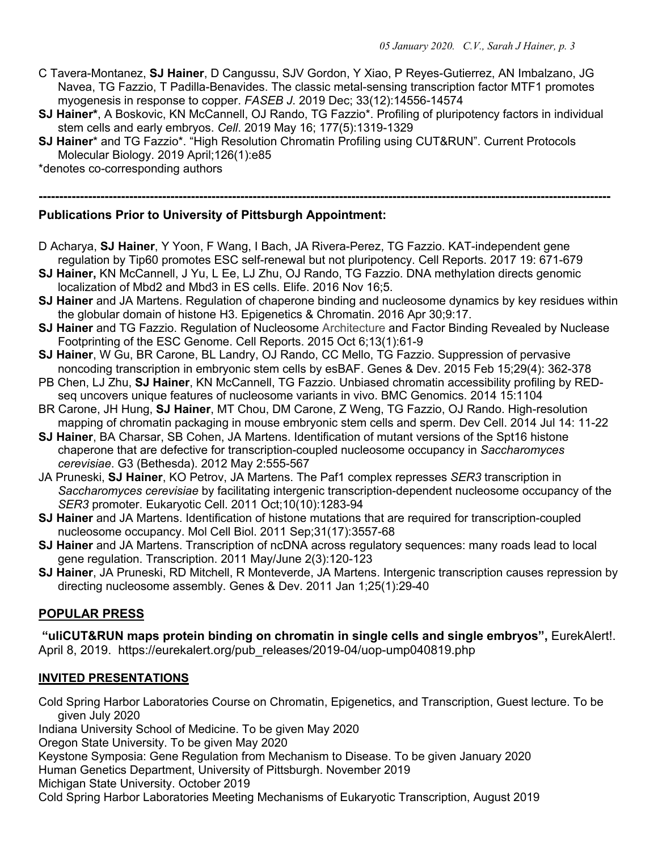- C Tavera-Montanez, **SJ Hainer**, D Cangussu, SJV Gordon, Y Xiao, P Reyes-Gutierrez, AN Imbalzano, JG Navea, TG Fazzio, T Padilla-Benavides. The classic metal-sensing transcription factor MTF1 promotes myogenesis in response to copper. *FASEB J*. 2019 Dec; 33(12):14556-14574
- **SJ Hainer\***, A Boskovic, KN McCannell, OJ Rando, TG Fazzio\*. Profiling of pluripotency factors in individual stem cells and early embryos. *Cell*. 2019 May 16; 177(5):1319-1329

**-------------------------------------------------------------------------------------------------------------------------------------------**

**SJ Hainer**\* and TG Fazzio\*. "High Resolution Chromatin Profiling using CUT&RUN". Current Protocols Molecular Biology. 2019 April;126(1):e85

\*denotes co-corresponding authors

**Publications Prior to University of Pittsburgh Appointment:**

- D Acharya, **SJ Hainer**, Y Yoon, F Wang, I Bach, JA Rivera-Perez, TG Fazzio. KAT-independent gene regulation by Tip60 promotes ESC self-renewal but not pluripotency. Cell Reports. 2017 19: 671-679
- **SJ Hainer,** KN McCannell, J Yu, L Ee, LJ Zhu, OJ Rando, TG Fazzio. DNA methylation directs genomic localization of Mbd2 and Mbd3 in ES cells. Elife. 2016 Nov 16;5.
- **SJ Hainer** and JA Martens. Regulation of chaperone binding and nucleosome dynamics by key residues within the globular domain of histone H3. Epigenetics & Chromatin. 2016 Apr 30;9:17.
- **SJ Hainer** and TG Fazzio. Regulation of Nucleosome Architecture and Factor Binding Revealed by Nuclease Footprinting of the ESC Genome. Cell Reports. 2015 Oct 6;13(1):61-9
- **SJ Hainer**, W Gu, BR Carone, BL Landry, OJ Rando, CC Mello, TG Fazzio. Suppression of pervasive noncoding transcription in embryonic stem cells by esBAF. Genes & Dev. 2015 Feb 15;29(4): 362-378
- PB Chen, LJ Zhu, **SJ Hainer**, KN McCannell, TG Fazzio. Unbiased chromatin accessibility profiling by REDseq uncovers unique features of nucleosome variants in vivo. BMC Genomics. 2014 15:1104
- BR Carone, JH Hung, **SJ Hainer**, MT Chou, DM Carone, Z Weng, TG Fazzio, OJ Rando. High-resolution mapping of chromatin packaging in mouse embryonic stem cells and sperm. Dev Cell. 2014 Jul 14: 11-22
- **SJ Hainer**, BA Charsar, SB Cohen, JA Martens. Identification of mutant versions of the Spt16 histone chaperone that are defective for transcription-coupled nucleosome occupancy in *Saccharomyces cerevisiae*. G3 (Bethesda). 2012 May 2:555-567
- JA Pruneski, **SJ Hainer**, KO Petrov, JA Martens. The Paf1 complex represses *SER3* transcription in *Saccharomyces cerevisiae* by facilitating intergenic transcription-dependent nucleosome occupancy of the *SER3* promoter. Eukaryotic Cell. 2011 Oct;10(10):1283-94
- **SJ Hainer** and JA Martens. Identification of histone mutations that are required for transcription-coupled nucleosome occupancy. Mol Cell Biol. 2011 Sep;31(17):3557-68
- **SJ Hainer** and JA Martens. Transcription of ncDNA across regulatory sequences: many roads lead to local gene regulation. Transcription. 2011 May/June 2(3):120-123
- **SJ Hainer**, JA Pruneski, RD Mitchell, R Monteverde, JA Martens. Intergenic transcription causes repression by directing nucleosome assembly. Genes & Dev. 2011 Jan 1;25(1):29-40

## **POPULAR PRESS**

**"uliCUT&RUN maps protein binding on chromatin in single cells and single embryos",** EurekAlert!. April 8, 2019. https://eurekalert.org/pub\_releases/2019-04/uop-ump040819.php

## **INVITED PRESENTATIONS**

Cold Spring Harbor Laboratories Course on Chromatin, Epigenetics, and Transcription, Guest lecture. To be given July 2020

Indiana University School of Medicine. To be given May 2020

Oregon State University. To be given May 2020

Keystone Symposia: Gene Regulation from Mechanism to Disease. To be given January 2020

Human Genetics Department, University of Pittsburgh. November 2019

Michigan State University. October 2019

Cold Spring Harbor Laboratories Meeting Mechanisms of Eukaryotic Transcription, August 2019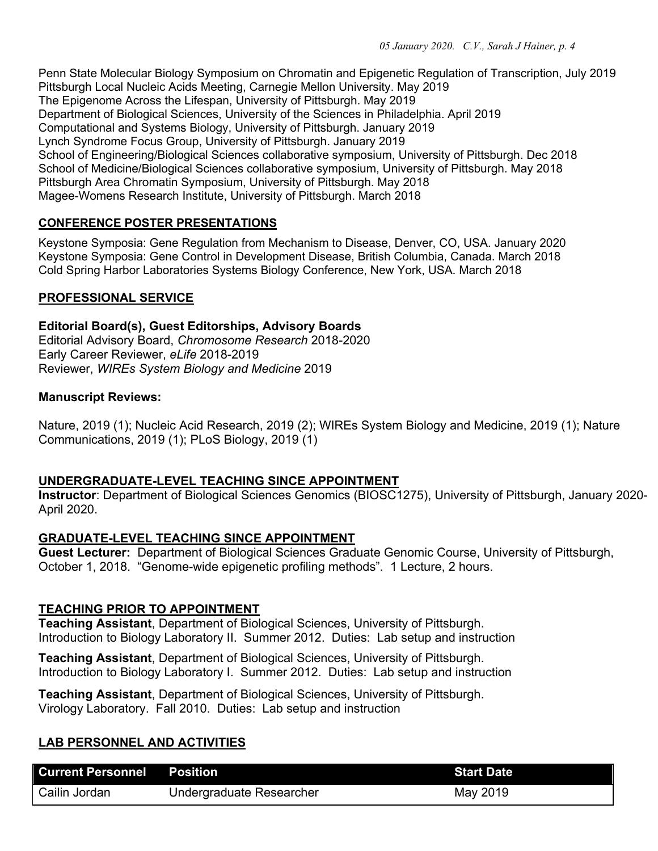Penn State Molecular Biology Symposium on Chromatin and Epigenetic Regulation of Transcription, July 2019 Pittsburgh Local Nucleic Acids Meeting, Carnegie Mellon University. May 2019 The Epigenome Across the Lifespan, University of Pittsburgh. May 2019 Department of Biological Sciences, University of the Sciences in Philadelphia. April 2019 Computational and Systems Biology, University of Pittsburgh. January 2019 Lynch Syndrome Focus Group, University of Pittsburgh. January 2019 School of Engineering/Biological Sciences collaborative symposium, University of Pittsburgh. Dec 2018 School of Medicine/Biological Sciences collaborative symposium, University of Pittsburgh. May 2018 Pittsburgh Area Chromatin Symposium, University of Pittsburgh. May 2018 Magee-Womens Research Institute, University of Pittsburgh. March 2018

## **CONFERENCE POSTER PRESENTATIONS**

Keystone Symposia: Gene Regulation from Mechanism to Disease, Denver, CO, USA. January 2020 Keystone Symposia: Gene Control in Development Disease, British Columbia, Canada. March 2018 Cold Spring Harbor Laboratories Systems Biology Conference, New York, USA. March 2018

#### **PROFESSIONAL SERVICE**

#### **Editorial Board(s), Guest Editorships, Advisory Boards**

Editorial Advisory Board, *Chromosome Research* 2018-2020 Early Career Reviewer, *eLife* 2018-2019 Reviewer, *WIREs System Biology and Medicine* 2019

#### **Manuscript Reviews:**

Nature, 2019 (1); Nucleic Acid Research, 2019 (2); WIREs System Biology and Medicine, 2019 (1); Nature Communications, 2019 (1); PLoS Biology, 2019 (1)

#### **UNDERGRADUATE-LEVEL TEACHING SINCE APPOINTMENT**

**Instructor**: Department of Biological Sciences Genomics (BIOSC1275), University of Pittsburgh, January 2020- April 2020.

#### **GRADUATE-LEVEL TEACHING SINCE APPOINTMENT**

**Guest Lecturer:** Department of Biological Sciences Graduate Genomic Course, University of Pittsburgh, October 1, 2018. "Genome-wide epigenetic profiling methods". 1 Lecture, 2 hours.

#### **TEACHING PRIOR TO APPOINTMENT**

**Teaching Assistant**, Department of Biological Sciences, University of Pittsburgh. Introduction to Biology Laboratory II. Summer 2012. Duties: Lab setup and instruction

**Teaching Assistant**, Department of Biological Sciences, University of Pittsburgh. Introduction to Biology Laboratory I. Summer 2012. Duties: Lab setup and instruction

**Teaching Assistant**, Department of Biological Sciences, University of Pittsburgh. Virology Laboratory. Fall 2010. Duties: Lab setup and instruction

## **LAB PERSONNEL AND ACTIVITIES**

| <b>Current Personnel Position</b> |                          | <b>Start Date</b> |
|-----------------------------------|--------------------------|-------------------|
| Cailin Jordan                     | Undergraduate Researcher | May 2019          |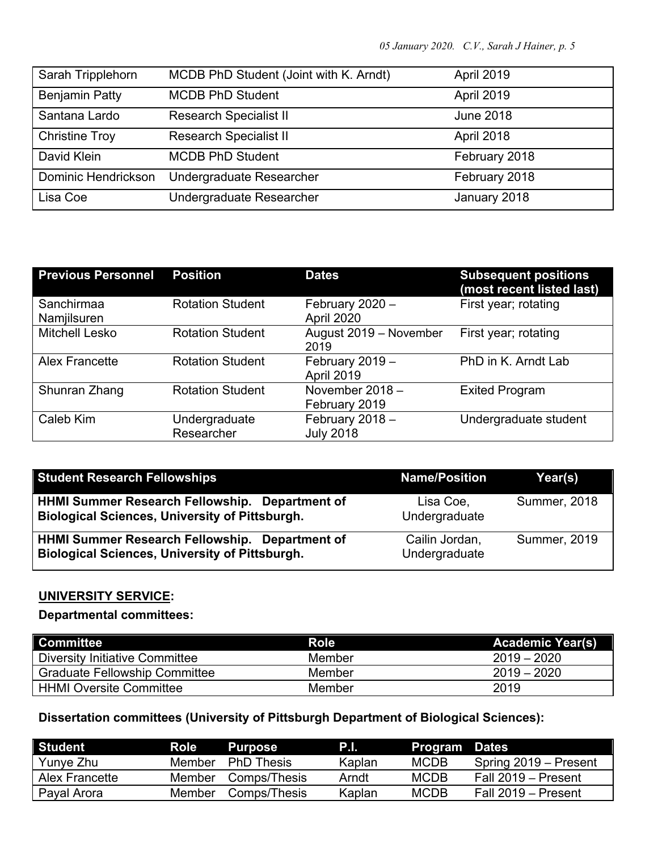| Sarah Tripplehorn     | MCDB PhD Student (Joint with K. Arndt) | <b>April 2019</b> |
|-----------------------|----------------------------------------|-------------------|
| <b>Benjamin Patty</b> | <b>MCDB PhD Student</b>                | <b>April 2019</b> |
| Santana Lardo         | <b>Research Specialist II</b>          | <b>June 2018</b>  |
| <b>Christine Troy</b> | <b>Research Specialist II</b>          | April 2018        |
| David Klein           | <b>MCDB PhD Student</b>                | February 2018     |
| Dominic Hendrickson   | Undergraduate Researcher               | February 2018     |
| Lisa Coe              | Undergraduate Researcher               | January 2018      |

| <b>Previous Personnel</b> | <b>Position</b>             | <b>Dates</b>                         | <b>Subsequent positions</b><br>(most recent listed last) |
|---------------------------|-----------------------------|--------------------------------------|----------------------------------------------------------|
| Sanchirmaa<br>Namjilsuren | <b>Rotation Student</b>     | February 2020 -<br>April 2020        | First year; rotating                                     |
| <b>Mitchell Lesko</b>     | <b>Rotation Student</b>     | August 2019 - November<br>2019       | First year; rotating                                     |
| <b>Alex Francette</b>     | <b>Rotation Student</b>     | February 2019 -<br><b>April 2019</b> | PhD in K. Arndt Lab                                      |
| Shunran Zhang             | <b>Rotation Student</b>     | November 2018 -<br>February 2019     | <b>Exited Program</b>                                    |
| Caleb Kim                 | Undergraduate<br>Researcher | February 2018 -<br><b>July 2018</b>  | Undergraduate student                                    |

| <b>Student Research Fellowships</b>                                                                            | <b>Name/Position</b>            | Year(s)             |
|----------------------------------------------------------------------------------------------------------------|---------------------------------|---------------------|
| <b>HHMI Summer Research Fellowship. Department of</b><br><b>Biological Sciences, University of Pittsburgh.</b> | Lisa Coe,<br>Undergraduate      | <b>Summer, 2018</b> |
| HHMI Summer Research Fellowship. Department of<br><b>Biological Sciences, University of Pittsburgh.</b>        | Cailin Jordan,<br>Undergraduate | <b>Summer, 2019</b> |

## **UNIVERSITY SERVICE:**

**Departmental committees:**

| Committee                            | <b>Role</b> | <b>Academic Year(s)</b> |
|--------------------------------------|-------------|-------------------------|
| Diversity Initiative Committee       | Member      | $2019 - 2020$           |
| <b>Graduate Fellowship Committee</b> | Member      | $2019 - 2020$           |
| <b>HHMI Oversite Committee</b>       | Member      | 2019                    |

## **Dissertation committees (University of Pittsburgh Department of Biological Sciences):**

| Student        | Role . | <b>Purpose</b>    | P.I.   | <b>Program Dates</b> |                       |
|----------------|--------|-------------------|--------|----------------------|-----------------------|
| Yunye Zhu      | Member | <b>PhD</b> Thesis | Kaplan | <b>MCDB</b>          | Spring 2019 – Present |
| Alex Francette | Member | Comps/Thesis      | Arndt  | <b>MCDB</b>          | Fall 2019 – Present   |
| Payal Arora    | Member | Comps/Thesis      | Kaplan | <b>MCDB</b>          | Fall 2019 – Present   |